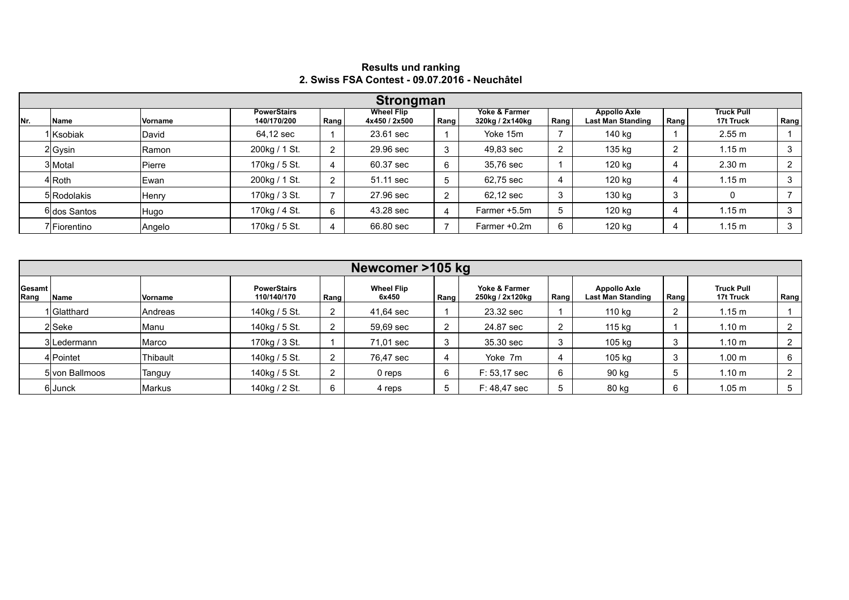|     | Strongman    |               |                                   |      |                                    |      |                                  |      |                                                 |      |                                |      |  |
|-----|--------------|---------------|-----------------------------------|------|------------------------------------|------|----------------------------------|------|-------------------------------------------------|------|--------------------------------|------|--|
| Nr. | Name         | Vorname       | <b>PowerStairs</b><br>140/170/200 | Rang | <b>Wheel Flip</b><br>4x450 / 2x500 | Rang | Yoke & Farmer<br>320kg / 2x140kg | Rang | <b>Appollo Axle</b><br><b>Last Man Standing</b> | Rang | <b>Truck Pull</b><br>17t Truck | Rang |  |
|     | l Ksobiak    | David         | 64,12 sec                         |      | 23.61 sec                          |      | Yoke 15m                         |      | 140 kg                                          |      | 2.55 m                         |      |  |
|     | $2 G$ ysin   | Ramon         | 200kg / 1 St.                     | ົ    | 29.96 sec                          |      | 49.83 sec                        | റ    | 135 kg                                          |      | 1.15 m                         | 3    |  |
|     | 3 Motal      | Pierre        | 170kg / 5 St.                     |      | 60.37 sec                          | 6    | 35,76 sec                        |      | 120 kg                                          |      | 2.30 m                         |      |  |
|     | 4lRoth.      | Ewan          | 200kg / 1 St.                     | ົ    | 51.11 sec                          |      | 62,75 sec                        |      | 120 kg                                          | 4    | $1.15 \text{ m}$               | 3    |  |
|     | 5 Rodolakis  | Henry         | 170kg / 3 St.                     |      | 27.96 sec                          | ົ    | 62,12 sec                        | 3    | 130 kg                                          | З    | 0                              |      |  |
|     | 6 dos Santos | Hugo          | 170kg / 4 St.                     | 6    | 43.28 sec                          | 4    | Farmer +5.5m                     | 5    | 120 kg                                          | 4    | 1.15 m                         |      |  |
|     | 'IFiorentino | <b>Angelo</b> | 170kg / 5 St.                     |      | 66.80 sec                          |      | Farmer +0.2m                     | 6    | 120 kg                                          |      | 1.15 m                         | 3    |  |

## **Results und ranking 2. Swiss FSA Contest - 09.07.2016 - Neuchâtel**

|                | Newcomer >105 kg |          |                                   |      |                            |      |                                  |        |                                                 |               |                                |      |  |  |
|----------------|------------------|----------|-----------------------------------|------|----------------------------|------|----------------------------------|--------|-------------------------------------------------|---------------|--------------------------------|------|--|--|
| Gesamt<br>Rang | Name             | Vorname  | <b>PowerStairs</b><br>110/140/170 | Rang | <b>Wheel Flip</b><br>6x450 | Rang | Yoke & Farmer<br>250kg / 2x120kg | Rang   | <b>Appollo Axle</b><br><b>Last Man Standing</b> | Rang          | <b>Truck Pull</b><br>17t Truck | Rang |  |  |
|                | I Glatthard      | Andreas  | 140kg / 5 St.                     |      | 41,64 sec                  |      | 23.32 sec                        |        | 110 kg                                          | ົ<br><u>.</u> | 1.15 m                         |      |  |  |
|                | 2Seke            | Manu     | 140kg / 5 St.                     |      | 59,69 sec                  |      | 24.87 sec                        | ົ<br>▵ | 115 kg                                          |               | 1.10 m                         |      |  |  |
|                | 3ILedermann      | Marco    | 170kg / 3 St.                     |      | 71,01 sec                  | 3    | 35.30 sec                        | 3      | 105 kg                                          | 3             | 1.10 <sub>m</sub>              |      |  |  |
|                | 4lPointet        | Thibault | 140kg / 5 St.                     |      | 76,47 sec                  |      | Yoke 7m                          |        | 105 kg                                          | 3             | 1.00 <sub>m</sub>              | 6    |  |  |
|                | 5 von Ballmoos   | Tanguy   | 140kg / 5 St.                     |      | 0 reps                     | 6    | F: 53,17 sec                     | 6      | 90 kg                                           | 5             | 1.10 m                         | ົ    |  |  |
|                | 6Junck           | Markus   | 140kg / 2 St.                     |      | 4 reps                     |      | F: 48.47 sec                     | Ð      | 80 kg                                           | 6             | 1.05 <sub>m</sub>              |      |  |  |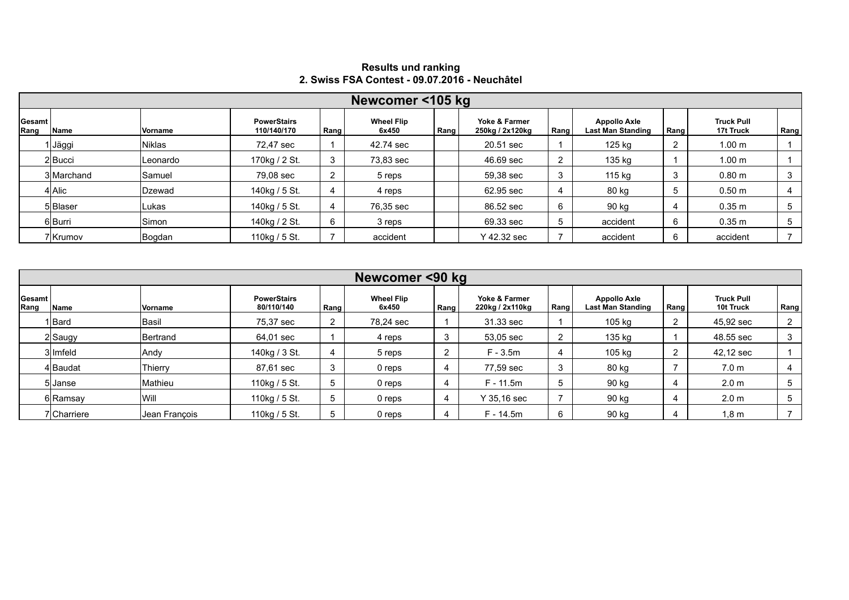|                | Newcomer <105 kg |                |                                   |      |                            |      |                                  |      |                                                 |        |                                |      |  |  |
|----------------|------------------|----------------|-----------------------------------|------|----------------------------|------|----------------------------------|------|-------------------------------------------------|--------|--------------------------------|------|--|--|
| Gesamt<br>Rang | Name             | <b>Vorname</b> | <b>PowerStairs</b><br>110/140/170 | Rang | <b>Wheel Flip</b><br>6x450 | Rang | Yoke & Farmer<br>250kg / 2x120kg | Rang | <b>Appollo Axle</b><br><b>Last Man Standing</b> | Rang   | <b>Truck Pull</b><br>17t Truck | Rang |  |  |
|                | Jäggi            | Niklas         | 72,47 sec                         |      | 42.74 sec                  |      | 20.51 sec                        |      | 125 kg                                          | $\sim$ | 1.00 <sub>m</sub>              |      |  |  |
|                | 2Bucci           | ILeonardo      | 170kg / 2 St.                     | 3    | 73,83 sec                  |      | 46.69 sec                        |      | 135 kg                                          |        | 1.00 <sub>m</sub>              |      |  |  |
|                | 3 Marchand       | Samuel         | 79,08 sec                         | 2    | 5 reps                     |      | 59,38 sec                        | З    | 115 kg                                          |        | $0.80 \; \text{m}$             | 3    |  |  |
|                | 4 Alic           | Dzewad         | 140kg / 5 St.                     | 4    | 4 reps                     |      | 62.95 sec                        |      | 80 kg                                           |        | $0.50 \; \text{m}$             |      |  |  |
|                | 5 Blaser         | Lukas          | 140kg / 5 St.                     | 4    | 76,35 sec                  |      | 86.52 sec                        | 6    | 90 kg                                           |        | $0.35 \; m$                    | 5    |  |  |
|                | 6 Burri          | <b>Simon</b>   | 140kg / 2 St.                     | 6    | 3 reps                     |      | 69.33 sec                        | b    | accident                                        | 6      | $0.35 \text{ m}$               | 5    |  |  |
|                | 7lKrumov         | Bogdan         | 110kg / 5 St.                     |      | accident                   |      | Y 42.32 sec                      |      | accident                                        | 6      | accident                       |      |  |  |

## **Results und ranking 2. Swiss FSA Contest - 09.07.2016 - Neuchâtel**

|                | Newcomer <90 kg |               |                                  |        |                            |      |                                  |      |                                                 |      |                                |                |  |  |
|----------------|-----------------|---------------|----------------------------------|--------|----------------------------|------|----------------------------------|------|-------------------------------------------------|------|--------------------------------|----------------|--|--|
| Gesamt<br>Rang | ∣Name           | Vorname       | <b>PowerStairs</b><br>80/110/140 | Rang   | <b>Wheel Flip</b><br>6x450 | Rang | Yoke & Farmer<br>220kg / 2x110kg | Rang | <b>Appollo Axle</b><br><b>Last Man Standing</b> | Rang | <b>Truck Pull</b><br>10t Truck | Rang           |  |  |
|                | 1 Bard          | Basil         | 75,37 sec                        | $^{2}$ | 78,24 sec                  |      | 31.33 sec                        |      | 105 kg                                          |      | 45,92 sec                      | $\overline{2}$ |  |  |
|                | $2 $ Saugy      | Bertrand      | 64,01 sec                        |        | 4 reps                     | 3    | 53,05 sec                        | ി    | 135 kg                                          |      | 48.55 sec                      | 3              |  |  |
|                | 3 Imfeld        | Andy          | 140kg / 3 St.                    | 4      | 5 reps                     |      | $F - 3.5m$                       |      | 105 kg                                          |      | 42,12 sec                      |                |  |  |
|                | 4 Baudat        | Thierry       | 87,61 sec                        | 3      | 0 reps                     |      | 77,59 sec                        | 3    | 80 kg                                           |      | 7.0 <sub>m</sub>               |                |  |  |
|                | 5 Janse         | Mathieu       | 110kg / 5 St.                    | 5      | 0 reps                     | 4    | $F - 11.5m$                      |      | 90 kg                                           |      | 2.0 <sub>m</sub>               | 5              |  |  |
|                | 6 Ramsay        | Will          | 110kg / 5 St.                    | 5.     | 0 reps                     | 4    | Y 35,16 sec                      |      | 90 kg                                           | 4    | 2.0 <sub>m</sub>               | 5              |  |  |
|                | 7 Charriere     | Jean Francois | 110kg / 5 St.                    | 5      | 0 reps                     |      | F - 14.5m                        | 6    | 90 kg                                           |      | $1,8 \text{ m}$                |                |  |  |